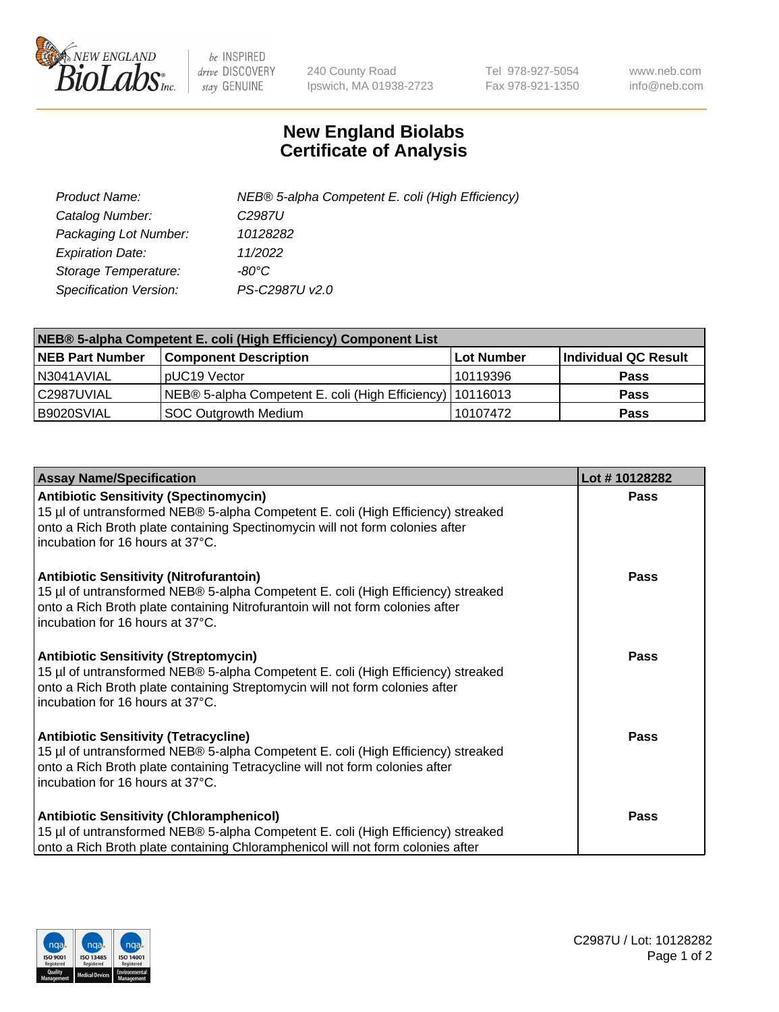

 $be$  INSPIRED drive DISCOVERY stay GENUINE

240 County Road Ipswich, MA 01938-2723 Tel 978-927-5054 Fax 978-921-1350 www.neb.com info@neb.com

## **New England Biolabs Certificate of Analysis**

| Product Name:           | NEB® 5-alpha Competent E. coli (High Efficiency) |
|-------------------------|--------------------------------------------------|
| Catalog Number:         | C <sub>2987</sub> U                              |
| Packaging Lot Number:   | 10128282                                         |
| <b>Expiration Date:</b> | 11/2022                                          |
| Storage Temperature:    | -80°C                                            |
| Specification Version:  | PS-C2987U v2.0                                   |

| NEB® 5-alpha Competent E. coli (High Efficiency) Component List |                                                             |            |                      |  |
|-----------------------------------------------------------------|-------------------------------------------------------------|------------|----------------------|--|
| <b>NEB Part Number</b>                                          | <b>Component Description</b>                                | Lot Number | Individual QC Result |  |
| N3041AVIAL                                                      | pUC19 Vector                                                | 10119396   | <b>Pass</b>          |  |
| C2987UVIAL                                                      | NEB® 5-alpha Competent E. coli (High Efficiency)   10116013 |            | <b>Pass</b>          |  |
| B9020SVIAL                                                      | <b>SOC Outgrowth Medium</b>                                 | 10107472   | <b>Pass</b>          |  |

| <b>Assay Name/Specification</b>                                                                                                                                                                                                                          | Lot #10128282 |
|----------------------------------------------------------------------------------------------------------------------------------------------------------------------------------------------------------------------------------------------------------|---------------|
| <b>Antibiotic Sensitivity (Spectinomycin)</b><br>15 µl of untransformed NEB® 5-alpha Competent E. coli (High Efficiency) streaked<br>onto a Rich Broth plate containing Spectinomycin will not form colonies after<br>incubation for 16 hours at 37°C.   | Pass          |
| <b>Antibiotic Sensitivity (Nitrofurantoin)</b><br>15 µl of untransformed NEB® 5-alpha Competent E. coli (High Efficiency) streaked<br>onto a Rich Broth plate containing Nitrofurantoin will not form colonies after<br>incubation for 16 hours at 37°C. | Pass          |
| <b>Antibiotic Sensitivity (Streptomycin)</b><br>15 µl of untransformed NEB® 5-alpha Competent E. coli (High Efficiency) streaked<br>onto a Rich Broth plate containing Streptomycin will not form colonies after<br>incubation for 16 hours at 37°C.     | Pass          |
| <b>Antibiotic Sensitivity (Tetracycline)</b><br>15 µl of untransformed NEB® 5-alpha Competent E. coli (High Efficiency) streaked<br>onto a Rich Broth plate containing Tetracycline will not form colonies after<br>incubation for 16 hours at 37°C.     | <b>Pass</b>   |
| <b>Antibiotic Sensitivity (Chloramphenicol)</b><br>15 µl of untransformed NEB® 5-alpha Competent E. coli (High Efficiency) streaked<br>onto a Rich Broth plate containing Chloramphenicol will not form colonies after                                   | Pass          |